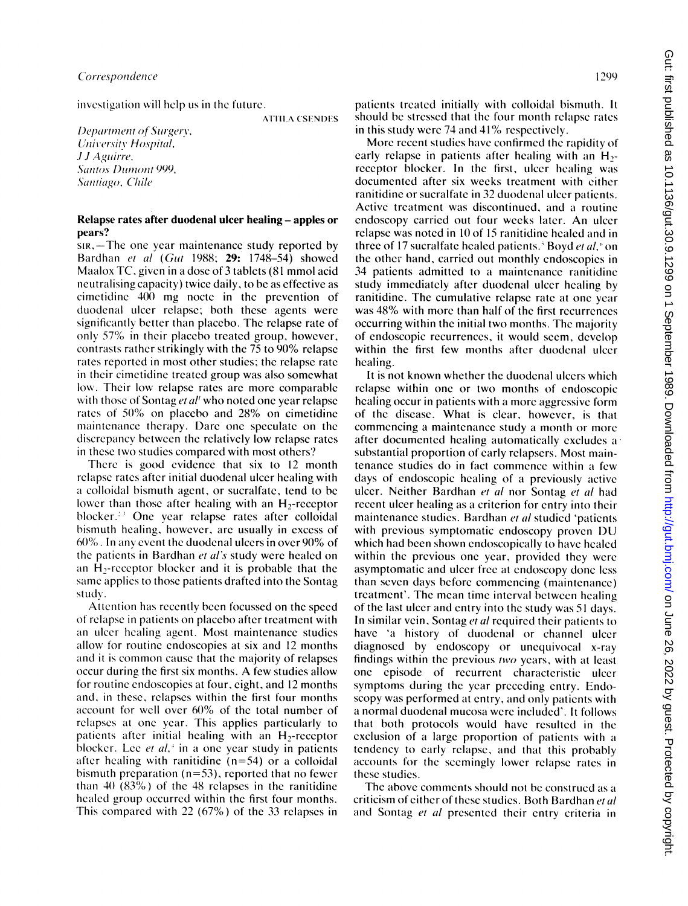investigation will help us in the future.

**ATTILA CSENDES** 

Department of Surgery, University Hospital, .IJ Aguirre. Santos Dumont 999, Santiago, Chile

## Relapse rates after duodenal ulcer healing - apples or pears?

sir,—The one year maintenance study reported by Bardhan et al (Gut 1988; 29: 1748-54) showed Maalox TC, given in a dose of 3 tablets (81 mmol acid neutralising capacity) twice daily, to be as effective as cimetidine 400 mg nocte in the prevention of duodenal ulcer relapse; both these agents were significantly better than placebo. The relapse rate of only 57% in their placebo treated group, however, contrasts rather strikingly with the 75 to 90% relapse rates reported in most other studies; the relapse rate in their cimetidine treated group was also somewhat low. Their low relapse rates are more comparable with those of Sontag et al' who noted one year relapse rates of 50% on placebo and 28% on cimetidine maintenance therapy. Dare one speculate on the discrepancy between the relatively low relapse rates in these two studies compared with most others?

There is good evidence that six to 12 month relapse rates after initial duodenal ulcer healing with a colloidal bismuth agent, or sucralfate, tend to be lower than those after healing with an H<sub>2</sub>-receptor blocker. $\mathbb{R}^3$  One vear relapse rates after colloidal bismuth healing, however, are usually in excess of 600%. In anv event the duodenal ulcers in over 90% of the patients in Bardhan et al's study were healed on an  $H_2$ -receptor blocker and it is probable that the same applies to those patients drafted into the Sontag studv.

Attention has recently been focussed on the speed of relapse in patients on placebo after treatment with an ulcer healing agent. Most maintenance studies allow for routine endoscopies at six and 12 months and it is common cause that the majority of relapses occur during the first six months. A few studies allow for routinc cndoscopies at four, eight, and 12 months and, in these, relapses within the first four months account for well over 60% of the total number of relapses at one year. This applics particularly to patients after initial healing with an H<sub>2</sub>-receptor blocker. Lee et  $al$ ,<sup> $+$ </sup> in a one year study in patients after healing with ranitidine  $(n=54)$  or a colloidal bismuth preparation ( $n=53$ ), reported that no fewer than 40  $(83\%)$  of the 48 relapses in the ranitidine healed group occurred within the first four months. This compared with 22 (67%) of the 33 relapses in

patients treated initially with colloidal bismutih. It should be stressed that the four month relapse rates in this study were 74 and 41% respectively.

More recent studies have confirmed the rapidity of early relapse in patients after healing with an H<sub>2</sub>receptor blocker. In the first, ulcer healing was documented after six weeks treatment with either ranitidine or sucralfate in 32 duodenal ulcer patients. Active treatment was discontinued, and a routine endoscopy carried out four weeks later. An ulcer relapse was noted in 10 of <sup>15</sup> ranitidine healed and in three of 17 sucralfate healed patients.<sup>8</sup> Boyd et al, $\degree$  on the other hand, carried out monthly endoscopies in 34 patients admitted to a maintenance ranitidine study immediately after duodenal ulcer healing by ranitidine. The cumulative relapse rate at one year was 48% with more than half of the first recurrences occurring within the initial two months. The majority of endoscopic recurrences, it would seem, develop within the first few months after duodenal ulcer healing.

It is not known whether the duodenal ulcers which relapse within one or two months of endoscopic healing occur in patients with a more aggressive form of the disease. What is clear, however, is that commencing a maintenance study a month or more after documented healing automatically excludes <sup>a</sup> substantial proportion of early relapsers. Most maintenance studies do in fact commence within <sup>a</sup> few days of endoscopic healing of a previously active ulcer. Neither Bardhan et al nor Sontag et al had recent ulcer healing as a criterion for entry into their maintenance studies. Bardhan et al studied 'patients with previous symptomatic endoscopy proven DU which had been shown endoscopically to have healed within the previous one year, provided they were asymptomatic and ulcer free at endoscopy done Iess than seven days before commencing (maintenance) treatment'. The mean time interval between healing of the last ulcer and entry into the study was 51 days. In similar vein, Sontag et al required their patients to have 'a history of duodenal or channel ulcer diagnosed by endoscopy or unequivocal x-ray findings within the previous two years, with at least one episode of recurrent characteristic ulcer symptoms during the year preceding entry. Endoscopy was performed at entry, and only patients with a normal duodenal mucosa were included'. It follows that both protocols would havc rcsulted in the exclusion of a large proportion of patients with a tendency to early relapse, and that this probably accounts for the seemingly lower relapse rates in these studies.

The above comments should not be construed as a criticism of cither of these studies. Both Bardhan et al and Sontag et al presented their entry criteria in